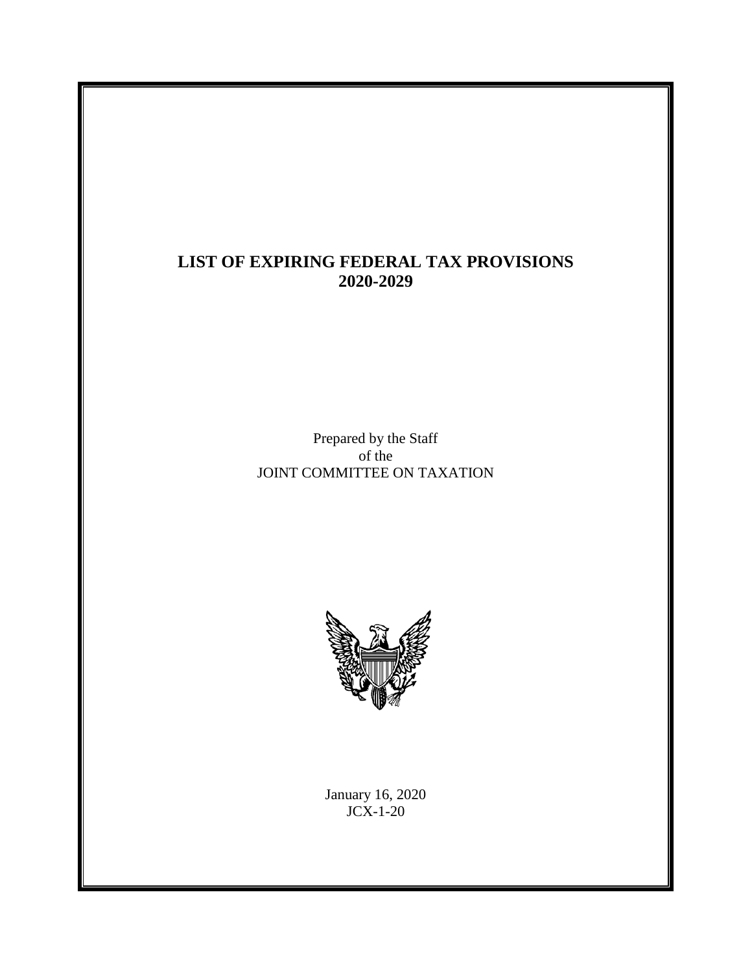#### **LIST OF EXPIRING FEDERAL TAX PROVISIONS 2020-2029**

Prepared by the Staff of the JOINT COMMITTEE ON TAXATION



January 16, 2020 JCX-1-20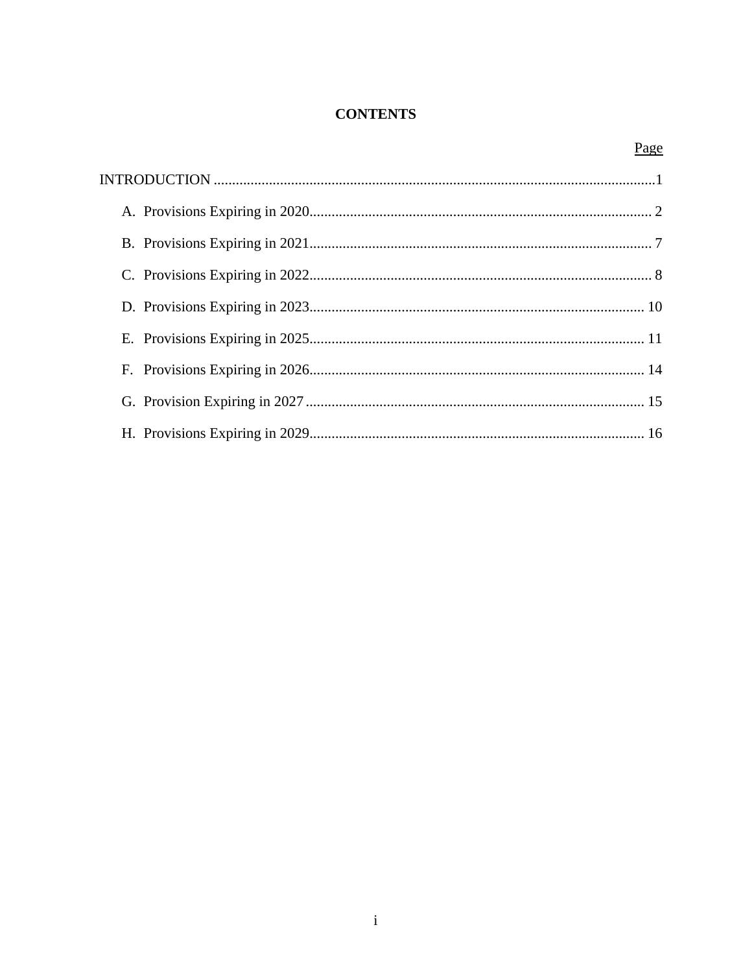#### **CONTENTS**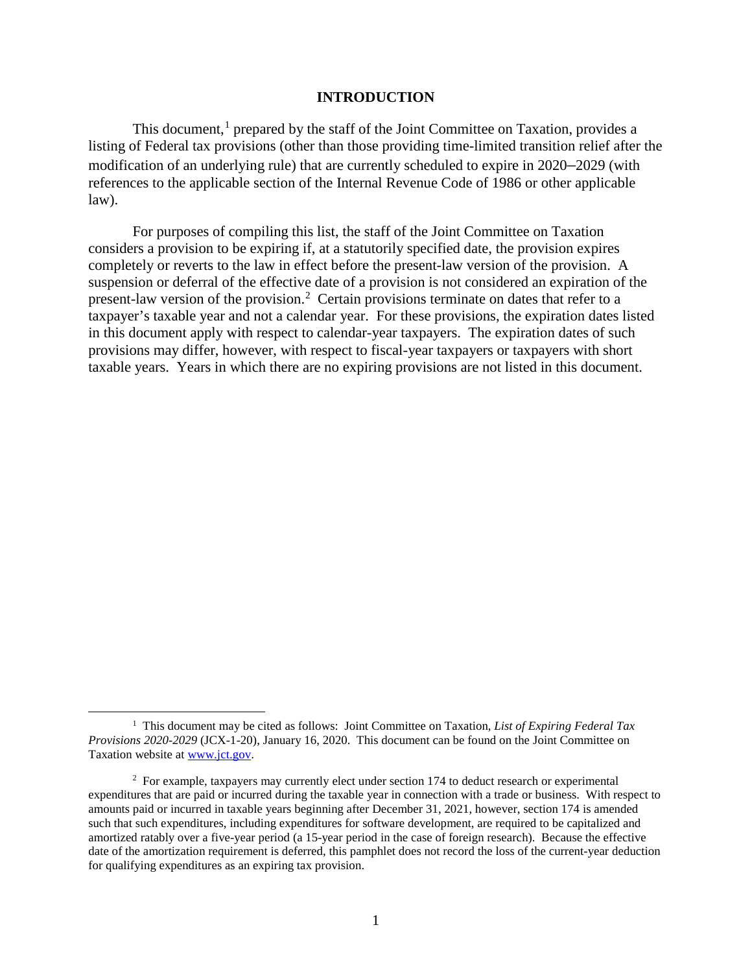#### **INTRODUCTION**

<span id="page-2-0"></span>This document,<sup>[1](#page-2-1)</sup> prepared by the staff of the Joint Committee on Taxation, provides a listing of Federal tax provisions (other than those providing time-limited transition relief after the modification of an underlying rule) that are currently scheduled to expire in 2020–2029 (with references to the applicable section of the Internal Revenue Code of 1986 or other applicable law).

For purposes of compiling this list, the staff of the Joint Committee on Taxation considers a provision to be expiring if, at a statutorily specified date, the provision expires completely or reverts to the law in effect before the present-law version of the provision. A suspension or deferral of the effective date of a provision is not considered an expiration of the present-law version of the provision.<sup>[2](#page-2-2)</sup> Certain provisions terminate on dates that refer to a taxpayer's taxable year and not a calendar year. For these provisions, the expiration dates listed in this document apply with respect to calendar-year taxpayers. The expiration dates of such provisions may differ, however, with respect to fiscal-year taxpayers or taxpayers with short taxable years. Years in which there are no expiring provisions are not listed in this document.

<span id="page-2-1"></span> $\overline{1}$ <sup>1</sup> This document may be cited as follows: Joint Committee on Taxation, *List of Expiring Federal Tax Provisions 2020-2029* (JCX-1-20), January 16, 2020. This document can be found on the Joint Committee on Taxation website at [www.jct.gov.](http://www.jct.gov/) 

<span id="page-2-2"></span><sup>&</sup>lt;sup>2</sup> For example, taxpayers may currently elect under section 174 to deduct research or experimental expenditures that are paid or incurred during the taxable year in connection with a trade or business. With respect to amounts paid or incurred in taxable years beginning after December 31, 2021, however, section 174 is amended such that such expenditures, including expenditures for software development, are required to be capitalized and amortized ratably over a five-year period (a 15-year period in the case of foreign research). Because the effective date of the amortization requirement is deferred, this pamphlet does not record the loss of the current-year deduction for qualifying expenditures as an expiring tax provision.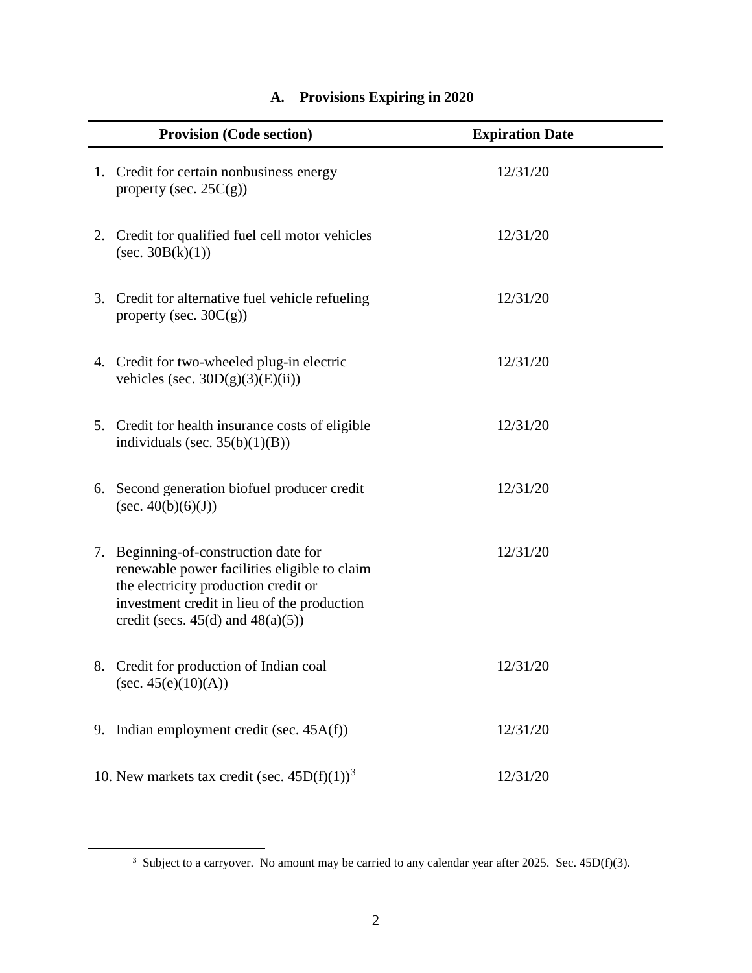<span id="page-3-0"></span>

| <b>Provision (Code section)</b>                                                                                                                                                                                        | <b>Expiration Date</b> |
|------------------------------------------------------------------------------------------------------------------------------------------------------------------------------------------------------------------------|------------------------|
| 1. Credit for certain nonbusiness energy<br>property (sec. $25C(g)$ )                                                                                                                                                  | 12/31/20               |
| 2. Credit for qualified fuel cell motor vehicles<br>$(\sec. 30B(k)(1))$                                                                                                                                                | 12/31/20               |
| 3. Credit for alternative fuel vehicle refueling<br>property (sec. $30C(g)$ )                                                                                                                                          | 12/31/20               |
| 4. Credit for two-wheeled plug-in electric<br>vehicles (sec. $30D(g)(3)(E)(ii)$ )                                                                                                                                      | 12/31/20               |
| 5. Credit for health insurance costs of eligible<br>individuals (sec. $35(b)(1)(B)$ )                                                                                                                                  | 12/31/20               |
| 6. Second generation biofuel producer credit<br>(sec. $40(b)(6)(J)$ )                                                                                                                                                  | 12/31/20               |
| 7. Beginning-of-construction date for<br>renewable power facilities eligible to claim<br>the electricity production credit or<br>investment credit in lieu of the production<br>credit (secs. $45(d)$ and $48(a)(5)$ ) | 12/31/20               |
| 8. Credit for production of Indian coal<br>(sec. 45(e)(10)(A))                                                                                                                                                         | 12/31/20               |
| 9. Indian employment credit (sec. 45A(f))                                                                                                                                                                              | 12/31/20               |
| 10. New markets tax credit (sec. $45D(f)(1)^3$                                                                                                                                                                         | 12/31/20               |

#### **A. Provisions Expiring in 2020**

<span id="page-3-1"></span><sup>&</sup>lt;sup>3</sup> Subject to a carryover. No amount may be carried to any calendar year after 2025. Sec. 45D(f)(3).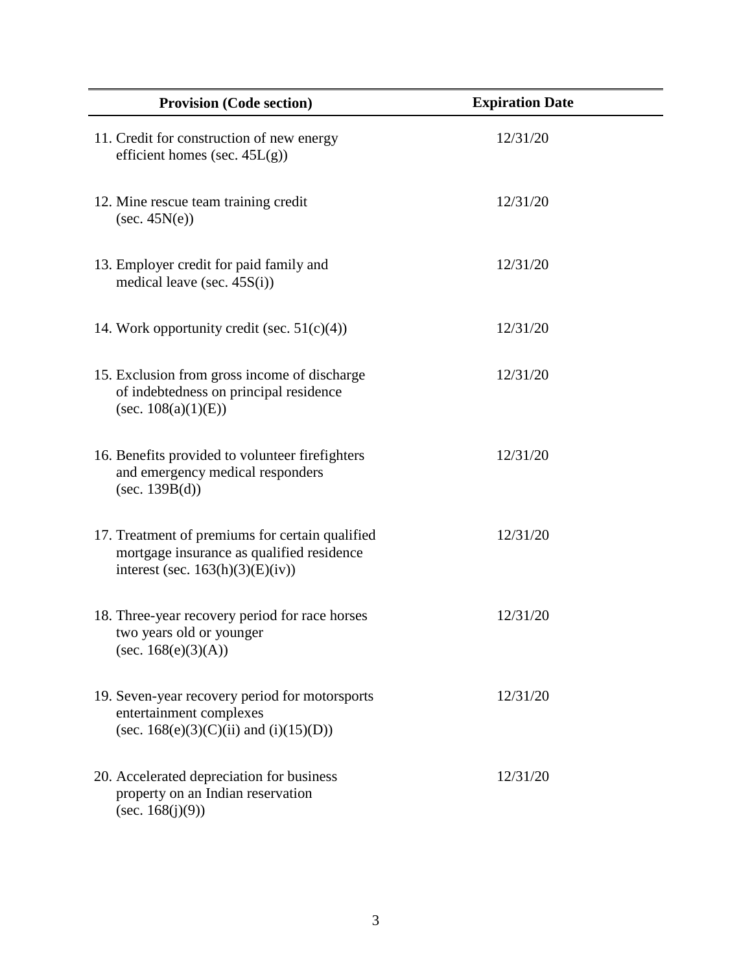| <b>Provision (Code section)</b>                                                                                                     | <b>Expiration Date</b> |
|-------------------------------------------------------------------------------------------------------------------------------------|------------------------|
| 11. Credit for construction of new energy<br>efficient homes (sec. $45L(g)$ )                                                       | 12/31/20               |
| 12. Mine rescue team training credit<br>$(\sec. 45N(e))$                                                                            | 12/31/20               |
| 13. Employer credit for paid family and<br>medical leave (sec. $45S(i)$ )                                                           | 12/31/20               |
| 14. Work opportunity credit (sec. $51(c)(4)$ )                                                                                      | 12/31/20               |
| 15. Exclusion from gross income of discharge<br>of indebtedness on principal residence<br>(sec. $108(a)(1)(E)$ )                    | 12/31/20               |
| 16. Benefits provided to volunteer firefighters<br>and emergency medical responders<br>(sec. $139B(d)$ )                            | 12/31/20               |
| 17. Treatment of premiums for certain qualified<br>mortgage insurance as qualified residence<br>interest (sec. $163(h)(3)(E)(iv)$ ) | 12/31/20               |
| 18. Three-year recovery period for race horses<br>two years old or younger<br>(sec. $168(e)(3)(A)$ )                                | 12/31/20               |
| 19. Seven-year recovery period for motorsports<br>entertainment complexes<br>(sec. $168(e)(3)(C)(ii)$ ) and $(i)(15)(D))$           | 12/31/20               |
| 20. Accelerated depreciation for business<br>property on an Indian reservation<br>(sec. $168(j)(9)$ )                               | 12/31/20               |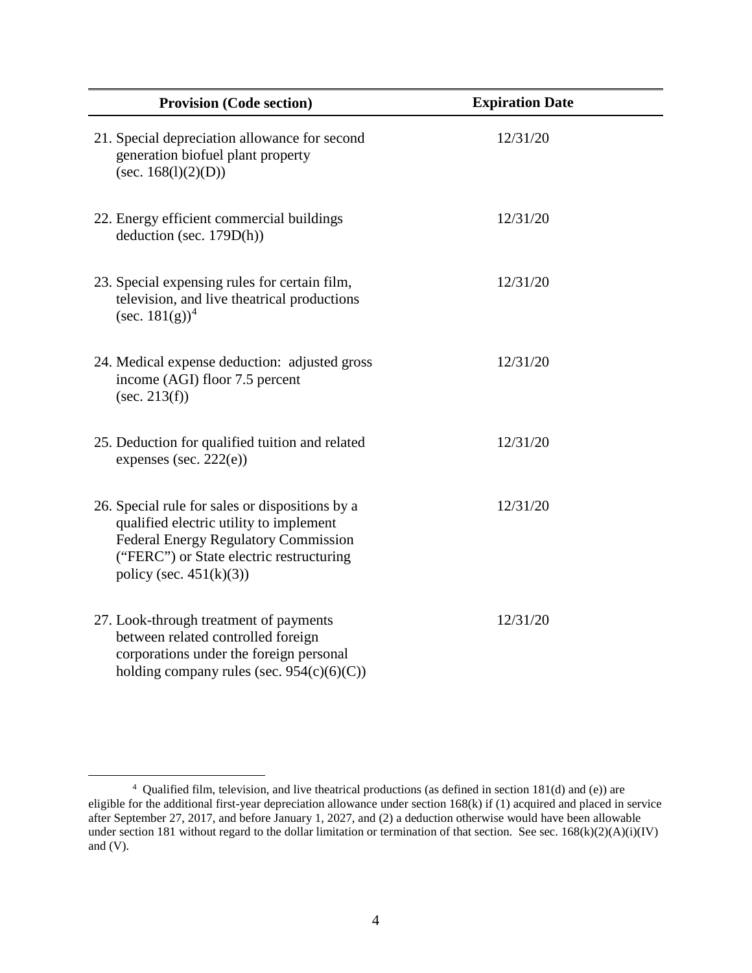| <b>Provision (Code section)</b>                                                                                                                                                                                     | <b>Expiration Date</b> |
|---------------------------------------------------------------------------------------------------------------------------------------------------------------------------------------------------------------------|------------------------|
| 21. Special depreciation allowance for second<br>generation biofuel plant property<br>(sec. $168(l)(2)(D)$ )                                                                                                        | 12/31/20               |
| 22. Energy efficient commercial buildings<br>deduction (sec. 179D(h))                                                                                                                                               | 12/31/20               |
| 23. Special expensing rules for certain film,<br>television, and live theatrical productions<br>(sec. $181(g)^4$ )                                                                                                  | 12/31/20               |
| 24. Medical expense deduction: adjusted gross<br>income (AGI) floor 7.5 percent<br>(sec. 213(f))                                                                                                                    | 12/31/20               |
| 25. Deduction for qualified tuition and related<br>expenses (sec. $222(e)$ )                                                                                                                                        | 12/31/20               |
| 26. Special rule for sales or dispositions by a<br>qualified electric utility to implement<br><b>Federal Energy Regulatory Commission</b><br>("FERC") or State electric restructuring<br>policy (sec. $451(k)(3)$ ) | 12/31/20               |
| 27. Look-through treatment of payments<br>between related controlled foreign<br>corporations under the foreign personal<br>holding company rules (sec. $954(c)(6)(C)$ )                                             | 12/31/20               |

<span id="page-5-0"></span> <sup>4</sup> Qualified film, television, and live theatrical productions (as defined in section 181(d) and (e)) are eligible for the additional first-year depreciation allowance under section 168(k) if (1) acquired and placed in service after September 27, 2017, and before January 1, 2027, and (2) a deduction otherwise would have been allowable under section 181 without regard to the dollar limitation or termination of that section. See sec.  $168(k)(2)(A)(i)(IV)$ and (V).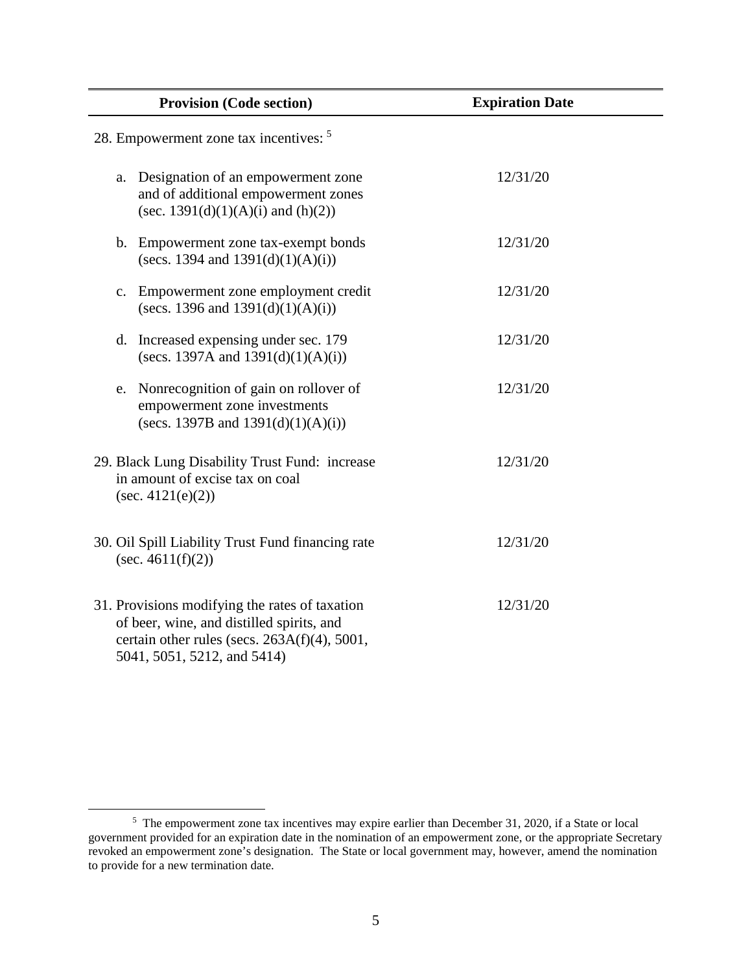| <b>Provision (Code section)</b>                                                                                                                                            | <b>Expiration Date</b> |
|----------------------------------------------------------------------------------------------------------------------------------------------------------------------------|------------------------|
| 28. Empowerment zone tax incentives: <sup>5</sup>                                                                                                                          |                        |
| Designation of an empowerment zone<br>a.<br>and of additional empowerment zones<br>(sec. 1391(d)(1)(A)(i) and (h)(2))                                                      | 12/31/20               |
| b. Empowerment zone tax-exempt bonds<br>(secs. 1394 and $1391(d)(1)(A)(i)$ )                                                                                               | 12/31/20               |
| Empowerment zone employment credit<br>$C_{\bullet}$<br>(secs. 1396 and $1391(d)(1)(A)(i)$ )                                                                                | 12/31/20               |
| d. Increased expensing under sec. 179<br>(secs. 1397A and $1391(d)(1)(A)(i)$ )                                                                                             | 12/31/20               |
| Nonrecognition of gain on rollover of<br>e.<br>empowerment zone investments<br>(secs. 1397B and $1391(d)(1)(A)(i)$ )                                                       | 12/31/20               |
| 29. Black Lung Disability Trust Fund: increase<br>in amount of excise tax on coal<br>(sec. 4121(e)(2))                                                                     | 12/31/20               |
| 30. Oil Spill Liability Trust Fund financing rate<br>$(\sec. 4611(f)(2))$                                                                                                  | 12/31/20               |
| 31. Provisions modifying the rates of taxation<br>of beer, wine, and distilled spirits, and<br>certain other rules (secs. 263A(f)(4), 5001,<br>5041, 5051, 5212, and 5414) | 12/31/20               |

<span id="page-6-0"></span><sup>&</sup>lt;sup>5</sup> The empowerment zone tax incentives may expire earlier than December 31, 2020, if a State or local government provided for an expiration date in the nomination of an empowerment zone, or the appropriate Secretary revoked an empowerment zone's designation. The State or local government may, however, amend the nomination to provide for a new termination date.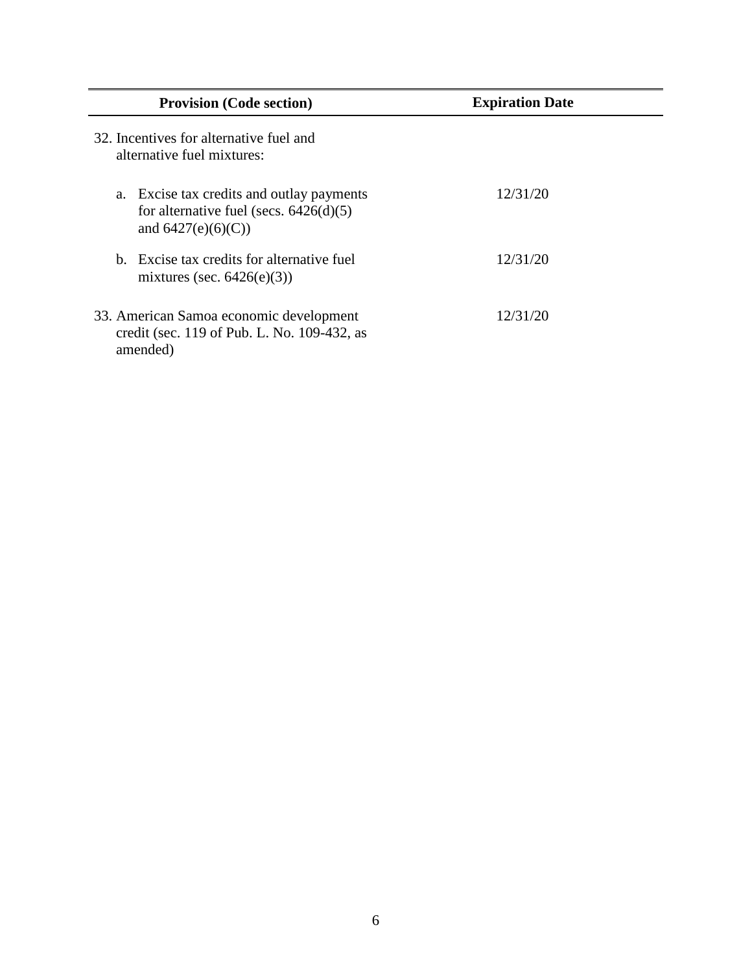| <b>Provision (Code section)</b>                                                                                   | <b>Expiration Date</b> |
|-------------------------------------------------------------------------------------------------------------------|------------------------|
| 32. Incentives for alternative fuel and<br>alternative fuel mixtures:                                             |                        |
| Excise tax credits and outlay payments<br>a.<br>for alternative fuel (secs. $6426(d)(5)$ )<br>and $6427(e)(6)(C)$ | 12/31/20               |
| <b>b</b> Excise tax credits for alternative fuel<br>mixtures (sec. $6426(e)(3)$ )                                 | 12/31/20               |
| 33. American Samoa economic development<br>credit (sec. 119 of Pub. L. No. 109-432, as<br>amended)                | 12/31/20               |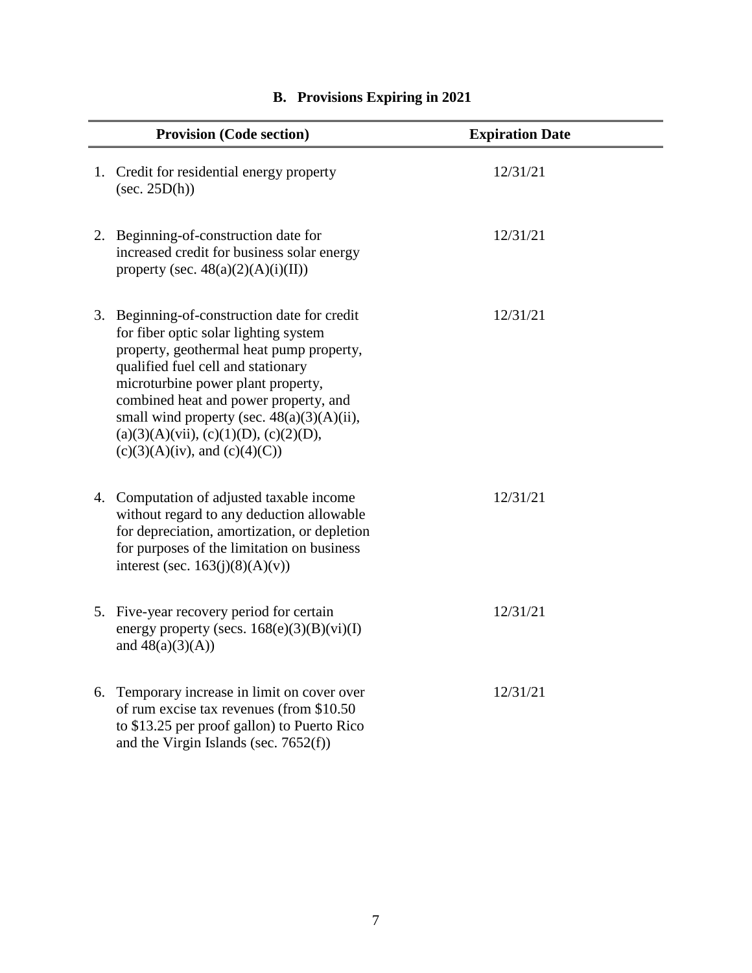<span id="page-8-0"></span>

| <b>Provision (Code section)</b>                                                                                                                                                                                                                                                                                                                                                                | <b>Expiration Date</b> |
|------------------------------------------------------------------------------------------------------------------------------------------------------------------------------------------------------------------------------------------------------------------------------------------------------------------------------------------------------------------------------------------------|------------------------|
| 1. Credit for residential energy property<br>$(\sec. 25D(h))$                                                                                                                                                                                                                                                                                                                                  | 12/31/21               |
| 2. Beginning-of-construction date for<br>increased credit for business solar energy<br>property (sec. $48(a)(2)(A)(i)(II))$                                                                                                                                                                                                                                                                    | 12/31/21               |
| 3. Beginning-of-construction date for credit<br>for fiber optic solar lighting system<br>property, geothermal heat pump property,<br>qualified fuel cell and stationary<br>microturbine power plant property,<br>combined heat and power property, and<br>small wind property (sec. $48(a)(3)(A)(ii)$ ,<br>$(a)(3)(A)(vii)$ , $(c)(1)(D)$ , $(c)(2)(D)$ ,<br>$(c)(3)(A)(iv)$ , and $(c)(4)(C)$ | 12/31/21               |
| 4. Computation of adjusted taxable income<br>without regard to any deduction allowable<br>for depreciation, amortization, or depletion<br>for purposes of the limitation on business<br>interest (sec. $163(j)(8)(A)(v)$ )                                                                                                                                                                     | 12/31/21               |
| 5. Five-year recovery period for certain<br>energy property (secs. $168(e)(3)(B)(vi)(I)$<br>and $48(a)(3)(A)$                                                                                                                                                                                                                                                                                  | 12/31/21               |
| 6. Temporary increase in limit on cover over<br>of rum excise tax revenues (from \$10.50)<br>to \$13.25 per proof gallon) to Puerto Rico<br>and the Virgin Islands (sec. $7652(f)$ )                                                                                                                                                                                                           | 12/31/21               |

# **B. Provisions Expiring in 2021**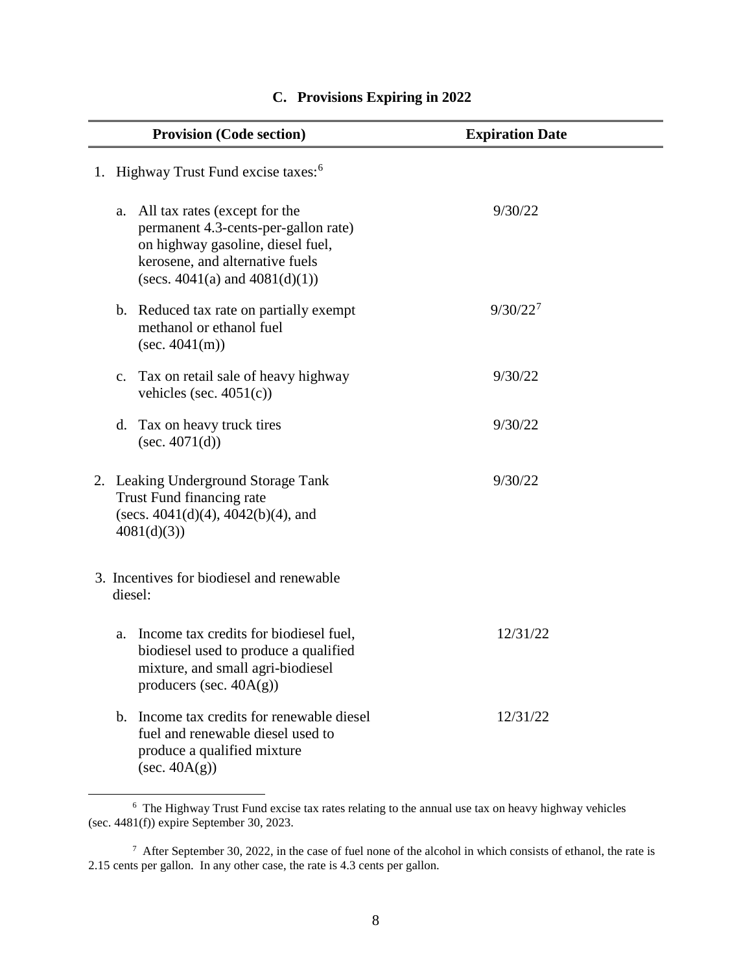<span id="page-9-0"></span>

| <b>Provision (Code section)</b>                                                                                                                                                            | <b>Expiration Date</b> |
|--------------------------------------------------------------------------------------------------------------------------------------------------------------------------------------------|------------------------|
| 1. Highway Trust Fund excise taxes: <sup>6</sup>                                                                                                                                           |                        |
| All tax rates (except for the<br>a.<br>permanent 4.3-cents-per-gallon rate)<br>on highway gasoline, diesel fuel,<br>kerosene, and alternative fuels<br>(secs. $4041(a)$ and $4081(d)(1)$ ) | 9/30/22                |
| b. Reduced tax rate on partially exempt<br>methanol or ethanol fuel<br>(sec. 4041(m))                                                                                                      | $9/30/22^7$            |
| Tax on retail sale of heavy highway<br>$C_{\bullet}$<br>vehicles (sec. $4051(c)$ )                                                                                                         | 9/30/22                |
| Tax on heavy truck tires<br>d.<br>(sec. $4071(d)$ )                                                                                                                                        | 9/30/22                |
| 2. Leaking Underground Storage Tank<br>Trust Fund financing rate<br>(secs. $4041(d)(4)$ , $4042(b)(4)$ , and<br>4081(d)(3)                                                                 | 9/30/22                |
| 3. Incentives for biodiesel and renewable<br>diesel:                                                                                                                                       |                        |
| Income tax credits for biodiesel fuel,<br>a.<br>biodiesel used to produce a qualified<br>mixture, and small agri-biodiesel<br>producers (sec. $40A(g)$ )                                   | 12/31/22               |
| Income tax credits for renewable diesel<br>$\mathbf{b}$ .<br>fuel and renewable diesel used to<br>produce a qualified mixture<br>$(\sec. 40A(g))$                                          | 12/31/22               |

#### **C. Provisions Expiring in 2022**

<span id="page-9-1"></span> <sup>6</sup> The Highway Trust Fund excise tax rates relating to the annual use tax on heavy highway vehicles (sec. 4481(f)) expire September 30, 2023.

<span id="page-9-2"></span> $7$  After September 30, 2022, in the case of fuel none of the alcohol in which consists of ethanol, the rate is 2.15 cents per gallon. In any other case, the rate is 4.3 cents per gallon.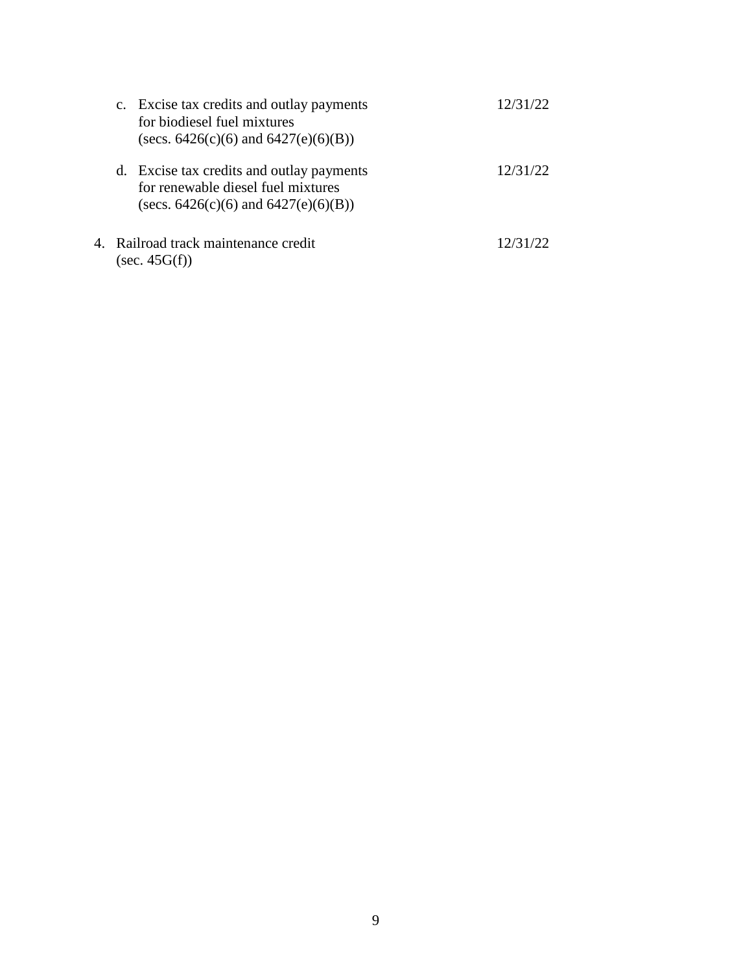| c. Excise tax credits and outlay payments<br>for biodiesel fuel mixtures<br>(secs. $6426(c)(6)$ and $6427(e)(6)(B)$ )        | 12/31/22 |
|------------------------------------------------------------------------------------------------------------------------------|----------|
| d. Excise tax credits and outlay payments<br>for renewable diesel fuel mixtures<br>(secs. $6426(c)(6)$ and $6427(e)(6)(B)$ ) | 12/31/22 |
| 4. Railroad track maintenance credit<br>$(\sec. 45G(f))$                                                                     | 12/31/22 |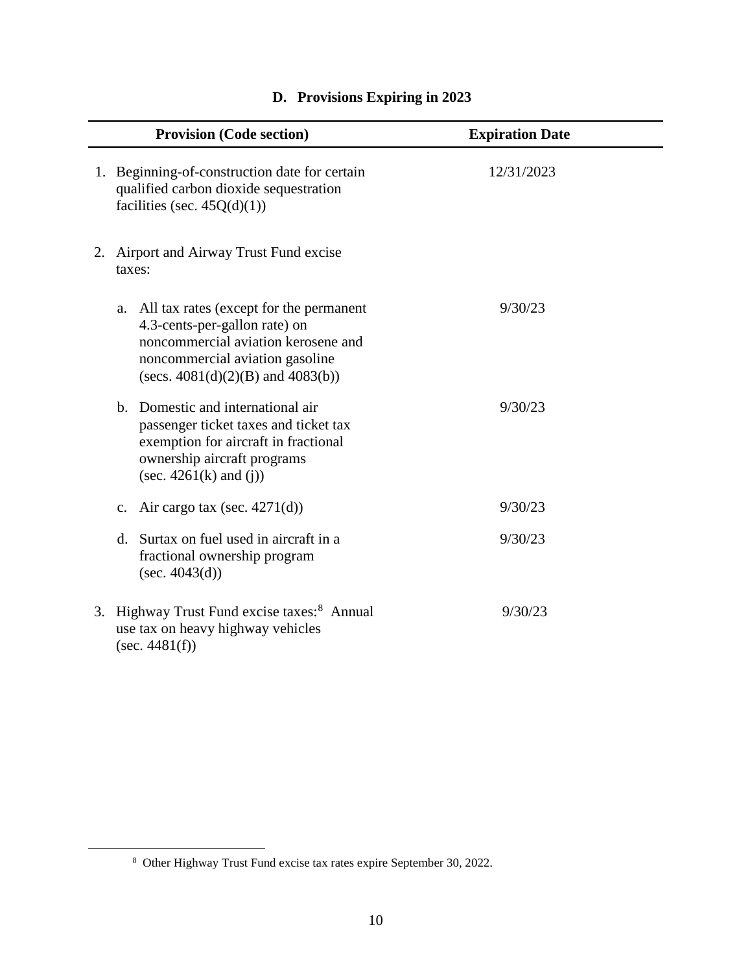<span id="page-11-0"></span>

| <b>Provision (Code section)</b>                                                                                                                                                                 | <b>Expiration Date</b> |
|-------------------------------------------------------------------------------------------------------------------------------------------------------------------------------------------------|------------------------|
| 1. Beginning-of-construction date for certain<br>qualified carbon dioxide sequestration<br>facilities (sec. $45Q(d)(1)$ )                                                                       | 12/31/2023             |
| 2. Airport and Airway Trust Fund excise<br>taxes:                                                                                                                                               |                        |
| a. All tax rates (except for the permanent<br>4.3-cents-per-gallon rate) on<br>noncommercial aviation kerosene and<br>noncommercial aviation gasoline<br>(secs. $4081(d)(2)(B)$ and $4083(b)$ ) | 9/30/23                |
| b. Domestic and international air<br>passenger ticket taxes and ticket tax<br>exemption for aircraft in fractional<br>ownership aircraft programs<br>(sec. $4261(k)$ and (j))                   | 9/30/23                |
| Air cargo tax (sec. $4271(d)$ )<br>c.                                                                                                                                                           | 9/30/23                |
| Surtax on fuel used in aircraft in a<br>$\mathbf{d}$ .<br>fractional ownership program<br>(sec. $4043(d)$ )                                                                                     | 9/30/23                |
| 3. Highway Trust Fund excise taxes: <sup>8</sup> Annual<br>use tax on heavy highway vehicles<br>(sec. 4481(f))                                                                                  | 9/30/23                |

# **D. Provisions Expiring in 2023**

<span id="page-11-1"></span> <sup>8</sup> Other Highway Trust Fund excise tax rates expire September 30, 2022.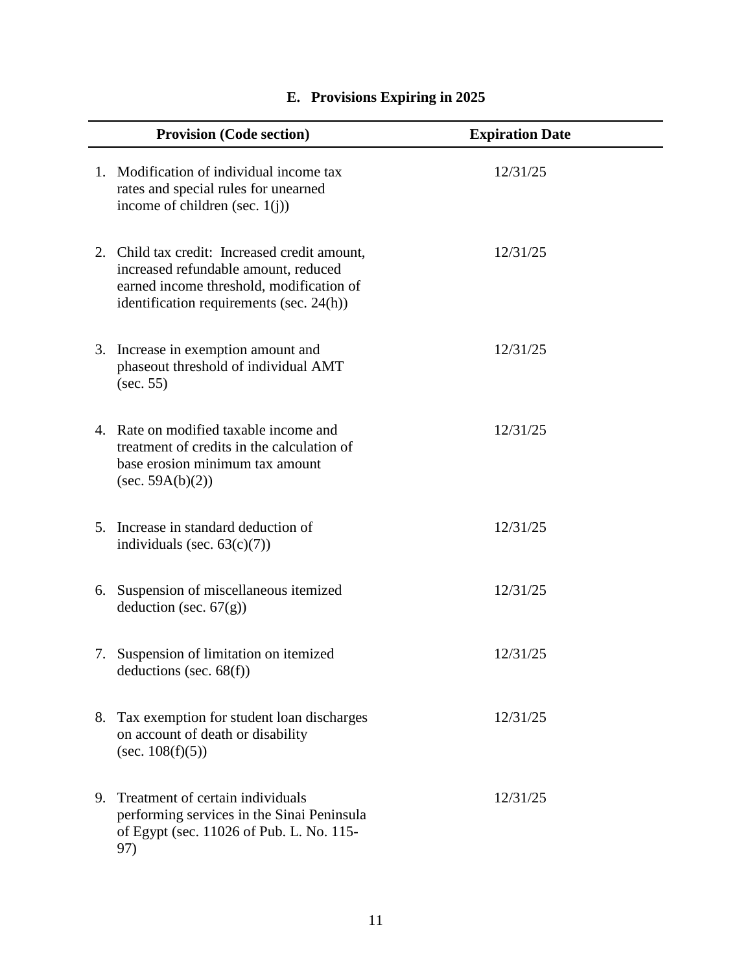<span id="page-12-0"></span>

|    | <b>Provision (Code section)</b>                                                                                                                                               | <b>Expiration Date</b> |
|----|-------------------------------------------------------------------------------------------------------------------------------------------------------------------------------|------------------------|
|    | 1. Modification of individual income tax<br>rates and special rules for unearned<br>income of children (sec. $1(j)$ )                                                         | 12/31/25               |
|    | 2. Child tax credit: Increased credit amount,<br>increased refundable amount, reduced<br>earned income threshold, modification of<br>identification requirements (sec. 24(h)) | 12/31/25               |
|    | 3. Increase in exemption amount and<br>phaseout threshold of individual AMT<br>(sec. 55)                                                                                      | 12/31/25               |
|    | 4. Rate on modified taxable income and<br>treatment of credits in the calculation of<br>base erosion minimum tax amount<br>(sec. $59A(b)(2)$ )                                | 12/31/25               |
|    | 5. Increase in standard deduction of<br>individuals (sec. $63(c)(7)$ )                                                                                                        | 12/31/25               |
|    | 6. Suspension of miscellaneous itemized<br>deduction (sec. $67(g)$ )                                                                                                          | 12/31/25               |
|    | 7. Suspension of limitation on itemized<br>deductions (sec. $68(f)$ )                                                                                                         | 12/31/25               |
|    | 8. Tax exemption for student loan discharges<br>on account of death or disability<br>(sec. $108(f)(5)$ )                                                                      | 12/31/25               |
| 9. | Treatment of certain individuals<br>performing services in the Sinai Peninsula<br>of Egypt (sec. 11026 of Pub. L. No. 115-<br>97)                                             | 12/31/25               |

# **E. Provisions Expiring in 2025**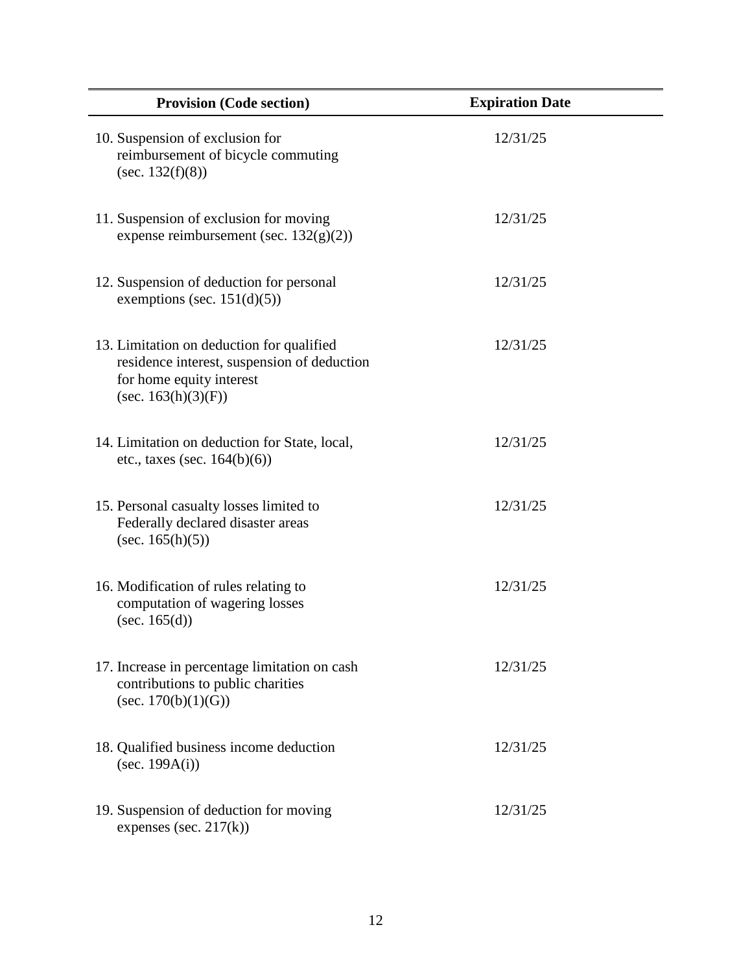| <b>Provision (Code section)</b>                                                                                                                | <b>Expiration Date</b> |
|------------------------------------------------------------------------------------------------------------------------------------------------|------------------------|
| 10. Suspension of exclusion for<br>reimbursement of bicycle commuting<br>(sec. $132(f)(8)$ )                                                   | 12/31/25               |
| 11. Suspension of exclusion for moving<br>expense reimbursement (sec. $132(g)(2)$ )                                                            | 12/31/25               |
| 12. Suspension of deduction for personal<br>exemptions (sec. $151(d)(5)$ )                                                                     | 12/31/25               |
| 13. Limitation on deduction for qualified<br>residence interest, suspension of deduction<br>for home equity interest<br>(sec. $163(h)(3)(F)$ ) | 12/31/25               |
| 14. Limitation on deduction for State, local,<br>etc., taxes (sec. $164(b)(6)$ )                                                               | 12/31/25               |
| 15. Personal casualty losses limited to<br>Federally declared disaster areas<br>(sec. $165(h)(5)$ )                                            | 12/31/25               |
| 16. Modification of rules relating to<br>computation of wagering losses<br>(sec. $165(d)$ )                                                    | 12/31/25               |
| 17. Increase in percentage limitation on cash<br>contributions to public charities<br>(sec. $170(b)(1)(G)$ )                                   | 12/31/25               |
| 18. Qualified business income deduction<br>(sec. $199A(i)$ )                                                                                   | 12/31/25               |
| 19. Suspension of deduction for moving<br>expenses (sec. $217(k)$ )                                                                            | 12/31/25               |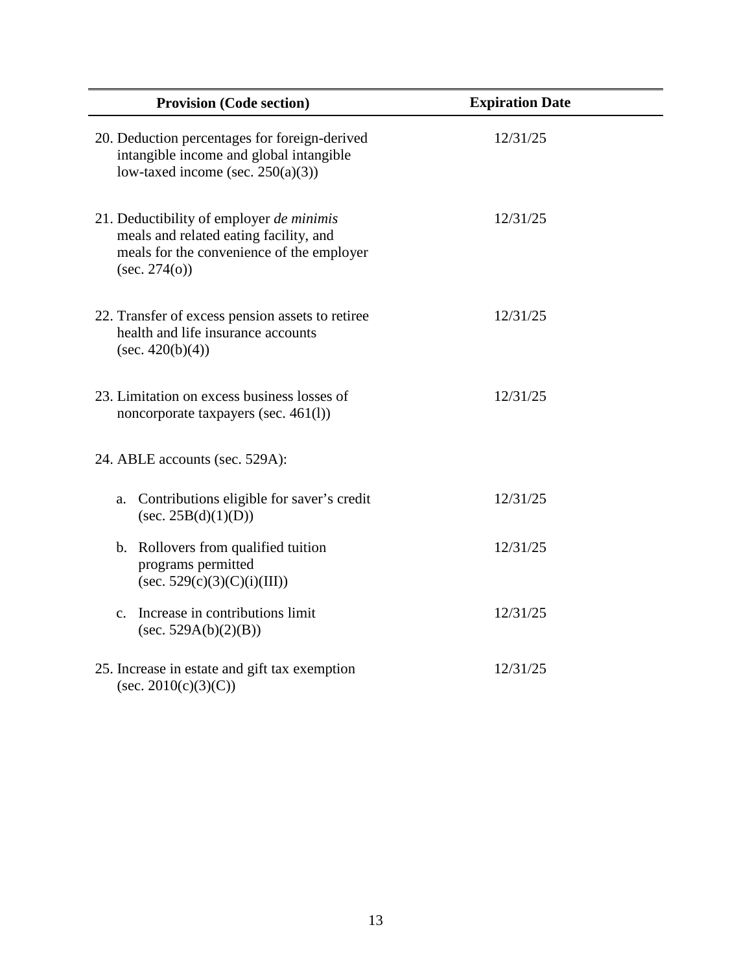| <b>Provision (Code section)</b>                                                                                                                  | <b>Expiration Date</b> |  |
|--------------------------------------------------------------------------------------------------------------------------------------------------|------------------------|--|
| 20. Deduction percentages for foreign-derived<br>intangible income and global intangible<br>low-taxed income (sec. $250(a)(3)$ )                 | 12/31/25               |  |
| 21. Deductibility of employer de minimis<br>meals and related eating facility, and<br>meals for the convenience of the employer<br>(sec. 274(o)) | 12/31/25               |  |
| 22. Transfer of excess pension assets to retiree<br>health and life insurance accounts<br>$(\sec, 420(b)(4))$                                    | 12/31/25               |  |
| 23. Limitation on excess business losses of<br>noncorporate taxpayers (sec. 461(l))                                                              | 12/31/25               |  |
| 24. ABLE accounts (sec. 529A):                                                                                                                   |                        |  |
| Contributions eligible for saver's credit<br>a.<br>(sec. 25B(d)(1)(D))                                                                           | 12/31/25               |  |
| b. Rollovers from qualified tuition<br>programs permitted<br>$(\sec. 529(c)(3)(C)(i)(III))$                                                      | 12/31/25               |  |
| Increase in contributions limit<br>C <sub>1</sub><br>(sec. 529A(b)(2)(B))                                                                        | 12/31/25               |  |
| 25. Increase in estate and gift tax exemption<br>(sec. 2010(c)(3)(C))                                                                            | 12/31/25               |  |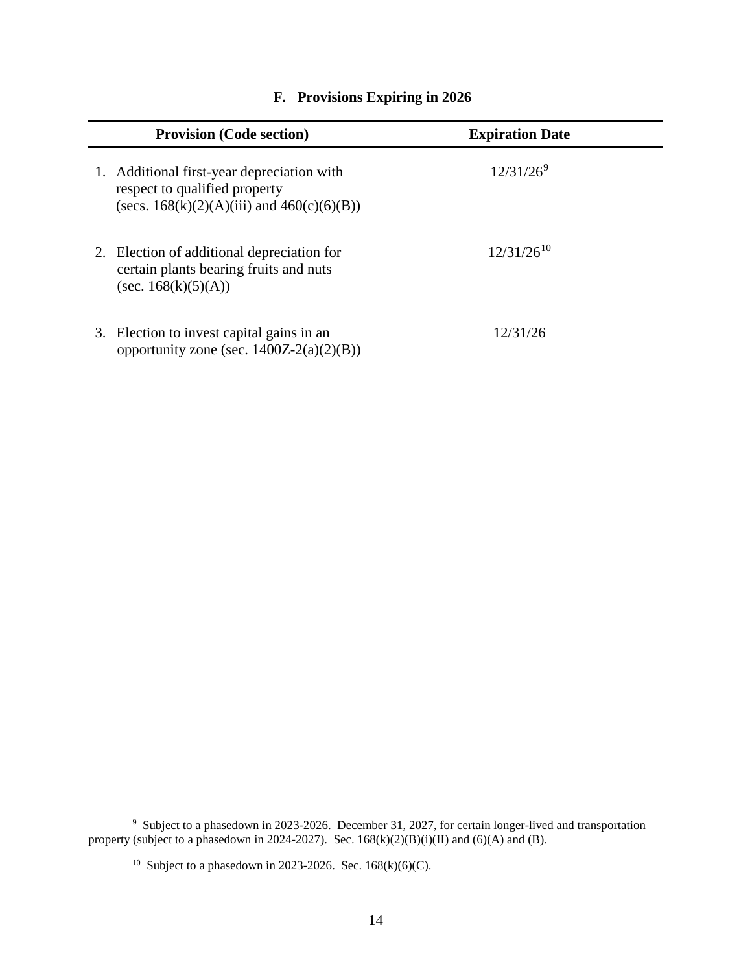<span id="page-15-0"></span>

| <b>Provision (Code section)</b>                                                                                                 | <b>Expiration Date</b> |  |
|---------------------------------------------------------------------------------------------------------------------------------|------------------------|--|
| 1. Additional first-year depreciation with<br>respect to qualified property<br>(secs. $168(k)(2)(A)(iii)$ and $460(c)(6)(B))$ ) | $12/31/26^9$           |  |
| 2. Election of additional depreciation for<br>certain plants bearing fruits and nuts<br>(sec. $168(k)(5)(A)$ )                  | $12/31/26^{10}$        |  |
| 3. Election to invest capital gains in an<br>opportunity zone (sec. $1400Z-2(a)(2)(B)$ )                                        | 12/31/26               |  |

#### **F. Provisions Expiring in 2026**

<span id="page-15-2"></span><span id="page-15-1"></span> <sup>9</sup> Subject to a phasedown in 2023-2026. December 31, 2027, for certain longer-lived and transportation property (subject to a phasedown in 2024-2027). Sec.  $168(k)(2)(B)(i)(II)$  and  $(6)(A)$  and  $(B)$ .

<sup>&</sup>lt;sup>10</sup> Subject to a phasedown in 2023-2026. Sec. 168(k)(6)(C).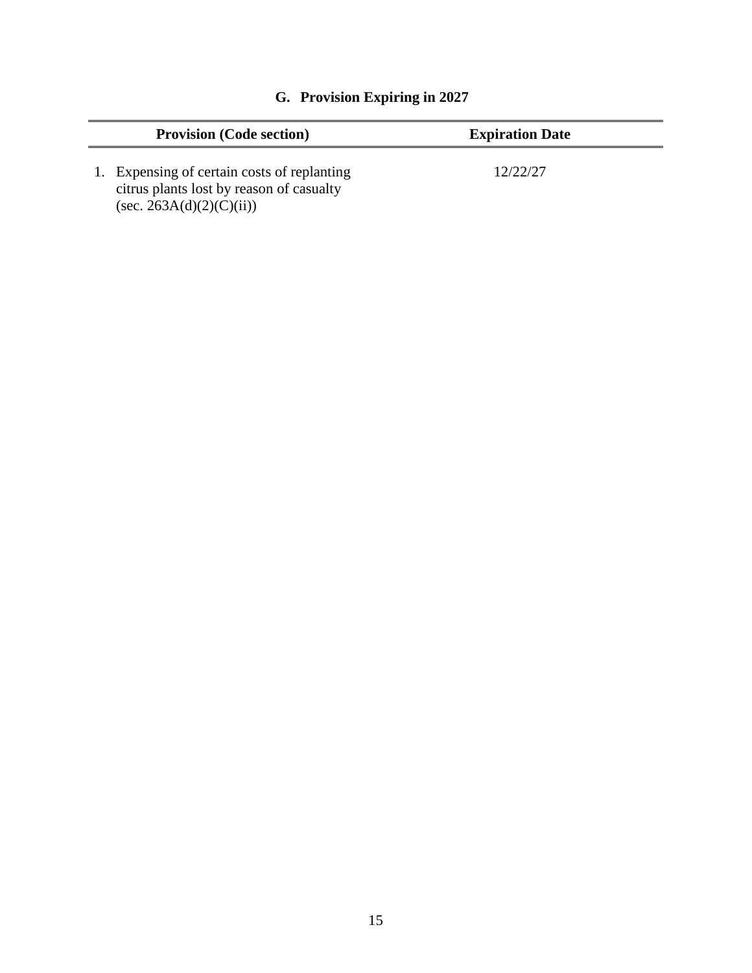<span id="page-16-0"></span>

| <b>Provision (Code section)</b>                                                                                        | <b>Expiration Date</b> |
|------------------------------------------------------------------------------------------------------------------------|------------------------|
| 1. Expensing of certain costs of replanting<br>citrus plants lost by reason of casualty<br>$(\sec. 263A(d)(2)(C(ii)))$ | 12/22/27               |

# **G. Provision Expiring in 2027**